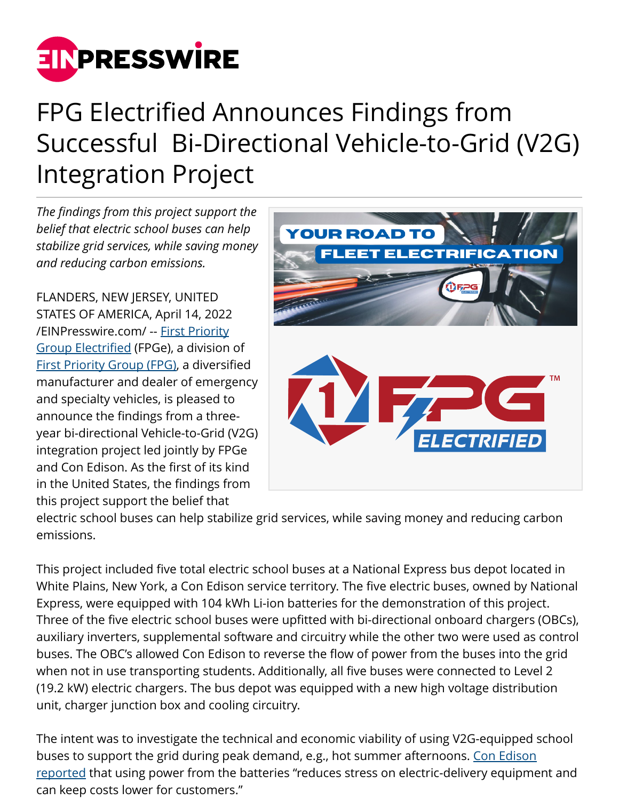

## FPG Electrified Announces Findings from Successful Bi-Directional Vehicle-to-Grid (V2G) Integration Project

*The findings from this project support the belief that electric school buses can help stabilize grid services, while saving money and reducing carbon emissions.*

FLANDERS, NEW JERSEY, UNITED STATES OF AMERICA, April 14, 2022 [/EINPresswire.com/](http://www.einpresswire.com) -- [First Priority](https://www.1fpg.com/electrified) [Group Electrified](https://www.1fpg.com/electrified) (FPGe), a division of [First Priority Group \(FPG\),](https://www.1fpg.com/) a diversified manufacturer and dealer of emergency and specialty vehicles, is pleased to announce the findings from a threeyear bi-directional Vehicle-to-Grid (V2G) integration project led jointly by FPGe and Con Edison. As the first of its kind in the United States, the findings from this project support the belief that



electric school buses can help stabilize grid services, while saving money and reducing carbon emissions.

This project included five total electric school buses at a National Express bus depot located in White Plains, New York, a Con Edison service territory. The five electric buses, owned by National Express, were equipped with 104 kWh Li-ion batteries for the demonstration of this project. Three of the five electric school buses were upfitted with bi-directional onboard chargers (OBCs), auxiliary inverters, supplemental software and circuitry while the other two were used as control buses. The OBC's allowed Con Edison to reverse the flow of power from the buses into the grid when not in use transporting students. Additionally, all five buses were connected to Level 2 (19.2 kW) electric chargers. The bus depot was equipped with a new high voltage distribution unit, charger junction box and cooling circuitry.

The intent was to investigate the technical and economic viability of using V2G-equipped school buses to support the grid during peak demand, e.g., hot summer afternoons. [Con Edison](https://www.coned.com/en/about-us/media-center/news/20220412/con-edison-and-partners-go-to-school-with-findings-from-e-school-bus-project) [reported](https://www.coned.com/en/about-us/media-center/news/20220412/con-edison-and-partners-go-to-school-with-findings-from-e-school-bus-project) that using power from the batteries "reduces stress on electric-delivery equipment and can keep costs lower for customers."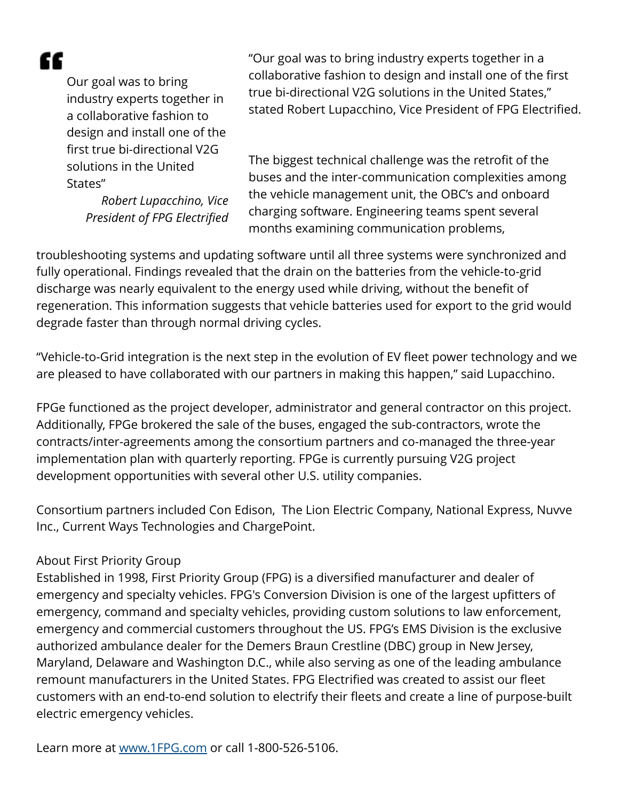æ

Our goal was to bring industry experts together in a collaborative fashion to design and install one of the first true bi-directional V2G solutions in the United States"

> *Robert Lupacchino, Vice President of FPG Electrified*

"Our goal was to bring industry experts together in a collaborative fashion to design and install one of the first true bi-directional V2G solutions in the United States," stated Robert Lupacchino, Vice President of FPG Electrified.

The biggest technical challenge was the retrofit of the buses and the inter-communication complexities among the vehicle management unit, the OBC's and onboard charging software. Engineering teams spent several months examining communication problems,

troubleshooting systems and updating software until all three systems were synchronized and fully operational. Findings revealed that the drain on the batteries from the vehicle-to-grid discharge was nearly equivalent to the energy used while driving, without the benefit of regeneration. This information suggests that vehicle batteries used for export to the grid would degrade faster than through normal driving cycles.

"Vehicle-to-Grid integration is the next step in the evolution of EV fleet power technology and we are pleased to have collaborated with our partners in making this happen," said Lupacchino.

FPGe functioned as the project developer, administrator and general contractor on this project. Additionally, FPGe brokered the sale of the buses, engaged the sub-contractors, wrote the contracts/inter-agreements among the consortium partners and co-managed the three-year implementation plan with quarterly reporting. FPGe is currently pursuing V2G project development opportunities with several other U.S. utility companies.

Consortium partners included Con Edison, The Lion Electric Company, National Express, Nuvve Inc., Current Ways Technologies and ChargePoint.

## About First Priority Group

Established in 1998, First Priority Group (FPG) is a diversified manufacturer and dealer of emergency and specialty vehicles. FPG's Conversion Division is one of the largest upfitters of emergency, command and specialty vehicles, providing custom solutions to law enforcement, emergency and commercial customers throughout the US. FPG's EMS Division is the exclusive authorized ambulance dealer for the Demers Braun Crestline (DBC) group in New Jersey, Maryland, Delaware and Washington D.C., while also serving as one of the leading ambulance remount manufacturers in the United States. FPG Electrified was created to assist our fleet customers with an end-to-end solution to electrify their fleets and create a line of purpose-built electric emergency vehicles.

Learn more at [www.1FPG.com](http://www.1FPG.com) or call 1-800-526-5106.